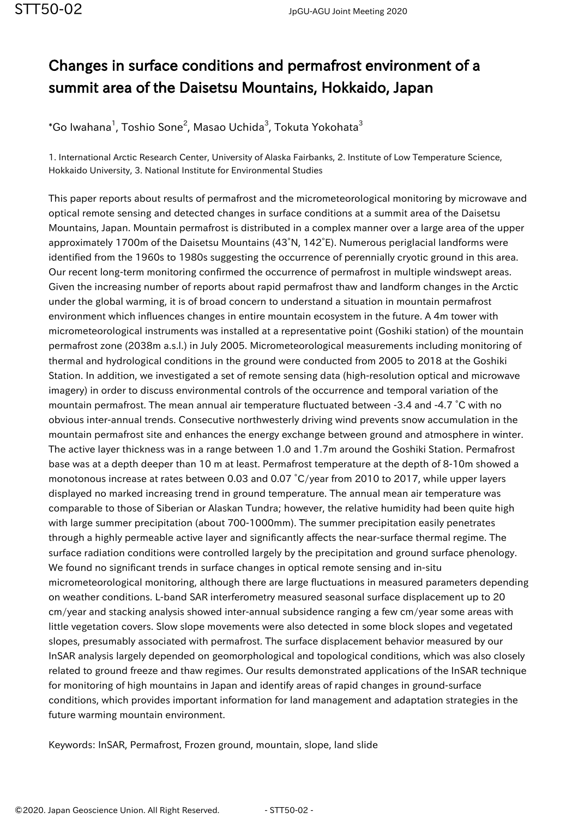## Changes in surface conditions and permafrost environment of a summit area of the Daisetsu Mountains, Hokkaido, Japan

 $^*$ Go Iwahana $^1$ , Toshio Sone $^2$ , Masao Uchida $^3$ , Tokuta Yokohata $^3$ 

1. International Arctic Research Center, University of Alaska Fairbanks, 2. Institute of Low Temperature Science, Hokkaido University, 3. National Institute for Environmental Studies

This paper reports about results of permafrost and the micrometeorological monitoring by microwave and optical remote sensing and detected changes in surface conditions at a summit area of the Daisetsu Mountains, Japan. Mountain permafrost is distributed in a complex manner over a large area of the upper approximately 1700m of the Daisetsu Mountains (43°N, 142°E). Numerous periglacial landforms were identified from the 1960s to 1980s suggesting the occurrence of perennially cryotic ground in this area. Our recent long-term monitoring confirmed the occurrence of permafrost in multiple windswept areas. Given the increasing number of reports about rapid permafrost thaw and landform changes in the Arctic under the global warming, it is of broad concern to understand a situation in mountain permafrost environment which influences changes in entire mountain ecosystem in the future. A 4m tower with micrometeorological instruments was installed at a representative point (Goshiki station) of the mountain permafrost zone (2038m a.s.l.) in July 2005. Micrometeorological measurements including monitoring of thermal and hydrological conditions in the ground were conducted from 2005 to 2018 at the Goshiki Station. In addition, we investigated a set of remote sensing data (high-resolution optical and microwave imagery) in order to discuss environmental controls of the occurrence and temporal variation of the mountain permafrost. The mean annual air temperature fluctuated between -3.4 and -4.7 °C with no obvious inter-annual trends. Consecutive northwesterly driving wind prevents snow accumulation in the mountain permafrost site and enhances the energy exchange between ground and atmosphere in winter. The active layer thickness was in a range between 1.0 and 1.7m around the Goshiki Station. Permafrost base was at a depth deeper than 10 m at least. Permafrost temperature at the depth of 8-10m showed a monotonous increase at rates between 0.03 and 0.07 °C/year from 2010 to 2017, while upper layers displayed no marked increasing trend in ground temperature. The annual mean air temperature was comparable to those of Siberian or Alaskan Tundra; however, the relative humidity had been quite high with large summer precipitation (about 700-1000mm). The summer precipitation easily penetrates through a highly permeable active layer and significantly affects the near-surface thermal regime. The surface radiation conditions were controlled largely by the precipitation and ground surface phenology. We found no significant trends in surface changes in optical remote sensing and in-situ micrometeorological monitoring, although there are large fluctuations in measured parameters depending on weather conditions. L-band SAR interferometry measured seasonal surface displacement up to 20 cm/year and stacking analysis showed inter-annual subsidence ranging a few cm/year some areas with little vegetation covers. Slow slope movements were also detected in some block slopes and vegetated slopes, presumably associated with permafrost. The surface displacement behavior measured by our InSAR analysis largely depended on geomorphological and topological conditions, which was also closely related to ground freeze and thaw regimes. Our results demonstrated applications of the InSAR technique for monitoring of high mountains in Japan and identify areas of rapid changes in ground-surface conditions, which provides important information for land management and adaptation strategies in the future warming mountain environment.

Keywords: InSAR, Permafrost, Frozen ground, mountain, slope, land slide